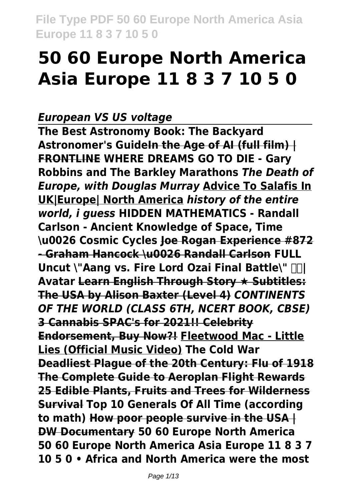# **50 60 Europe North America Asia Europe 11 8 3 7 10 5 0**

#### *European VS US voltage*

**The Best Astronomy Book: The Backyard Astronomer's GuideIn the Age of AI (full film) | FRONTLINE WHERE DREAMS GO TO DIE - Gary Robbins and The Barkley Marathons** *The Death of Europe, with Douglas Murray* **Advice To Salafis In UK|Europe| North America** *history of the entire world, i guess* **HIDDEN MATHEMATICS - Randall Carlson - Ancient Knowledge of Space, Time \u0026 Cosmic Cycles Joe Rogan Experience #872 - Graham Hancock \u0026 Randall Carlson FULL Uncut \"Aang vs. Fire Lord Ozai Final Battle\" | Avatar Learn English Through Story ★ Subtitles: The USA by Alison Baxter (Level 4)** *CONTINENTS OF THE WORLD (CLASS 6TH, NCERT BOOK, CBSE)* **3 Cannabis SPAC's for 2021!! Celebrity Endorsement, Buy Now?! Fleetwood Mac - Little Lies (Official Music Video) The Cold War Deadliest Plague of the 20th Century: Flu of 1918 The Complete Guide to Aeroplan Flight Rewards 25 Edible Plants, Fruits and Trees for Wilderness Survival Top 10 Generals Of All Time (according to math) How poor people survive in the USA | DW Documentary 50 60 Europe North America 50 60 Europe North America Asia Europe 11 8 3 7 10 5 0 • Africa and North America were the most**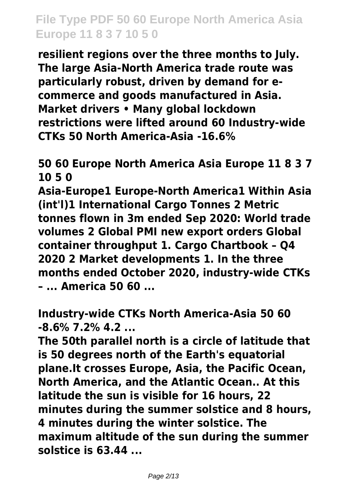**resilient regions over the three months to July. The large Asia-North America trade route was particularly robust, driven by demand for ecommerce and goods manufactured in Asia. Market drivers • Many global lockdown restrictions were lifted around 60 Industry-wide CTKs 50 North America-Asia -16.6%**

#### **50 60 Europe North America Asia Europe 11 8 3 7 10 5 0**

**Asia-Europe1 Europe-North America1 Within Asia (int'l)1 International Cargo Tonnes 2 Metric tonnes flown in 3m ended Sep 2020: World trade volumes 2 Global PMI new export orders Global container throughput 1. Cargo Chartbook – Q4 2020 2 Market developments 1. In the three months ended October 2020, industry-wide CTKs – ... America 50 60 ...**

**Industry-wide CTKs North America-Asia 50 60 -8.6% 7.2% 4.2 ...**

**The 50th parallel north is a circle of latitude that is 50 degrees north of the Earth's equatorial plane.It crosses Europe, Asia, the Pacific Ocean, North America, and the Atlantic Ocean.. At this latitude the sun is visible for 16 hours, 22 minutes during the summer solstice and 8 hours, 4 minutes during the winter solstice. The maximum altitude of the sun during the summer solstice is 63.44 ...**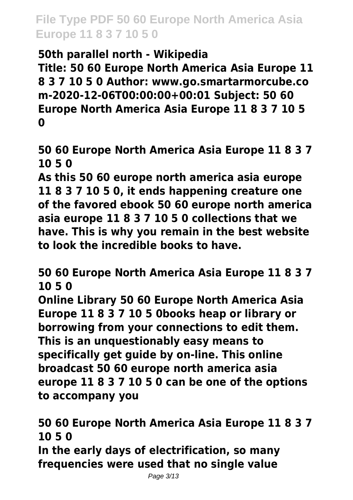## **50th parallel north - Wikipedia**

**Title: 50 60 Europe North America Asia Europe 11 8 3 7 10 5 0 Author: www.go.smartarmorcube.co m-2020-12-06T00:00:00+00:01 Subject: 50 60 Europe North America Asia Europe 11 8 3 7 10 5 0**

**50 60 Europe North America Asia Europe 11 8 3 7 10 5 0**

**As this 50 60 europe north america asia europe 11 8 3 7 10 5 0, it ends happening creature one of the favored ebook 50 60 europe north america asia europe 11 8 3 7 10 5 0 collections that we have. This is why you remain in the best website to look the incredible books to have.**

**50 60 Europe North America Asia Europe 11 8 3 7 10 5 0**

**Online Library 50 60 Europe North America Asia Europe 11 8 3 7 10 5 0books heap or library or borrowing from your connections to edit them. This is an unquestionably easy means to specifically get guide by on-line. This online broadcast 50 60 europe north america asia europe 11 8 3 7 10 5 0 can be one of the options to accompany you**

**50 60 Europe North America Asia Europe 11 8 3 7 10 5 0**

**In the early days of electrification, so many frequencies were used that no single value**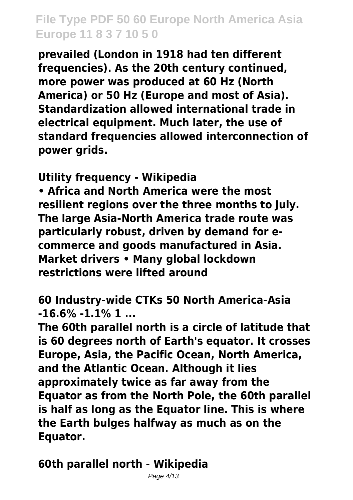**prevailed (London in 1918 had ten different frequencies). As the 20th century continued, more power was produced at 60 Hz (North America) or 50 Hz (Europe and most of Asia). Standardization allowed international trade in electrical equipment. Much later, the use of standard frequencies allowed interconnection of power grids.**

**Utility frequency - Wikipedia**

**• Africa and North America were the most resilient regions over the three months to July. The large Asia-North America trade route was particularly robust, driven by demand for ecommerce and goods manufactured in Asia. Market drivers • Many global lockdown restrictions were lifted around**

**60 Industry-wide CTKs 50 North America-Asia -16.6% -1.1% 1 ...**

**The 60th parallel north is a circle of latitude that is 60 degrees north of Earth's equator. It crosses Europe, Asia, the Pacific Ocean, North America, and the Atlantic Ocean. Although it lies approximately twice as far away from the Equator as from the North Pole, the 60th parallel is half as long as the Equator line. This is where the Earth bulges halfway as much as on the Equator.**

**60th parallel north - Wikipedia**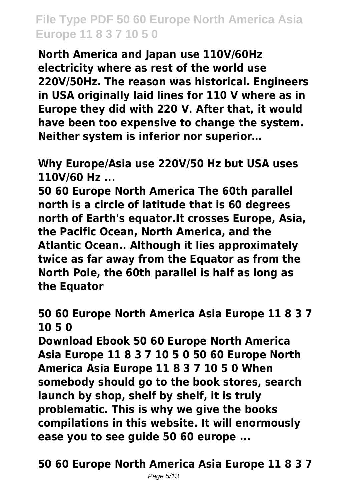**North America and Japan use 110V/60Hz electricity where as rest of the world use 220V/50Hz. The reason was historical. Engineers in USA originally laid lines for 110 V where as in Europe they did with 220 V. After that, it would have been too expensive to change the system. Neither system is inferior nor superior…**

**Why Europe/Asia use 220V/50 Hz but USA uses 110V/60 Hz ...**

**50 60 Europe North America The 60th parallel north is a circle of latitude that is 60 degrees north of Earth's equator.It crosses Europe, Asia, the Pacific Ocean, North America, and the Atlantic Ocean.. Although it lies approximately twice as far away from the Equator as from the North Pole, the 60th parallel is half as long as the Equator**

**50 60 Europe North America Asia Europe 11 8 3 7 10 5 0**

**Download Ebook 50 60 Europe North America Asia Europe 11 8 3 7 10 5 0 50 60 Europe North America Asia Europe 11 8 3 7 10 5 0 When somebody should go to the book stores, search launch by shop, shelf by shelf, it is truly problematic. This is why we give the books compilations in this website. It will enormously ease you to see guide 50 60 europe ...**

**50 60 Europe North America Asia Europe 11 8 3 7**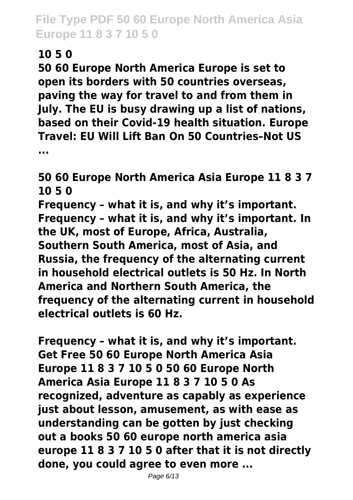## **10 5 0**

**50 60 Europe North America Europe is set to open its borders with 50 countries overseas, paving the way for travel to and from them in July. The EU is busy drawing up a list of nations, based on their Covid-19 health situation. Europe Travel: EU Will Lift Ban On 50 Countries–Not US ...**

**50 60 Europe North America Asia Europe 11 8 3 7 10 5 0**

**Frequency – what it is, and why it's important. Frequency – what it is, and why it's important. In the UK, most of Europe, Africa, Australia, Southern South America, most of Asia, and Russia, the frequency of the alternating current in household electrical outlets is 50 Hz. In North America and Northern South America, the frequency of the alternating current in household electrical outlets is 60 Hz.**

**Frequency – what it is, and why it's important. Get Free 50 60 Europe North America Asia Europe 11 8 3 7 10 5 0 50 60 Europe North America Asia Europe 11 8 3 7 10 5 0 As recognized, adventure as capably as experience just about lesson, amusement, as with ease as understanding can be gotten by just checking out a books 50 60 europe north america asia europe 11 8 3 7 10 5 0 after that it is not directly done, you could agree to even more ...**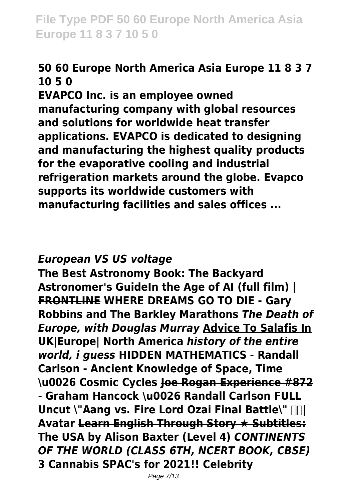## **50 60 Europe North America Asia Europe 11 8 3 7 10 5 0**

**EVAPCO Inc. is an employee owned manufacturing company with global resources and solutions for worldwide heat transfer applications. EVAPCO is dedicated to designing and manufacturing the highest quality products for the evaporative cooling and industrial refrigeration markets around the globe. Evapco supports its worldwide customers with manufacturing facilities and sales offices ...**

#### *European VS US voltage*

**The Best Astronomy Book: The Backyard Astronomer's GuideIn the Age of AI (full film) | FRONTLINE WHERE DREAMS GO TO DIE - Gary Robbins and The Barkley Marathons** *The Death of Europe, with Douglas Murray* **Advice To Salafis In UK|Europe| North America** *history of the entire world, i guess* **HIDDEN MATHEMATICS - Randall Carlson - Ancient Knowledge of Space, Time \u0026 Cosmic Cycles Joe Rogan Experience #872 - Graham Hancock \u0026 Randall Carlson FULL Uncut \"Aang vs. Fire Lord Ozai Final Battle\" | Avatar Learn English Through Story ★ Subtitles: The USA by Alison Baxter (Level 4)** *CONTINENTS OF THE WORLD (CLASS 6TH, NCERT BOOK, CBSE)* **3 Cannabis SPAC's for 2021!! Celebrity**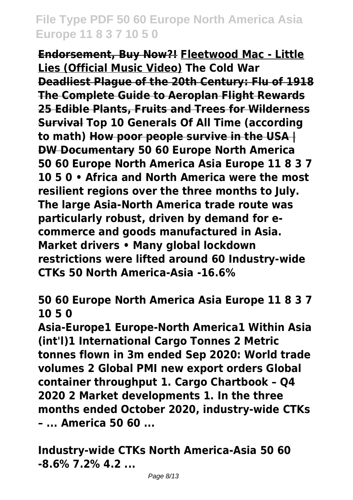**Endorsement, Buy Now?! Fleetwood Mac - Little Lies (Official Music Video) The Cold War Deadliest Plague of the 20th Century: Flu of 1918 The Complete Guide to Aeroplan Flight Rewards 25 Edible Plants, Fruits and Trees for Wilderness Survival Top 10 Generals Of All Time (according to math) How poor people survive in the USA | DW Documentary 50 60 Europe North America 50 60 Europe North America Asia Europe 11 8 3 7 10 5 0 • Africa and North America were the most resilient regions over the three months to July. The large Asia-North America trade route was particularly robust, driven by demand for ecommerce and goods manufactured in Asia. Market drivers • Many global lockdown restrictions were lifted around 60 Industry-wide CTKs 50 North America-Asia -16.6%**

**50 60 Europe North America Asia Europe 11 8 3 7 10 5 0**

**Asia-Europe1 Europe-North America1 Within Asia (int'l)1 International Cargo Tonnes 2 Metric tonnes flown in 3m ended Sep 2020: World trade volumes 2 Global PMI new export orders Global container throughput 1. Cargo Chartbook – Q4 2020 2 Market developments 1. In the three months ended October 2020, industry-wide CTKs – ... America 50 60 ...**

**Industry-wide CTKs North America-Asia 50 60 -8.6% 7.2% 4.2 ...**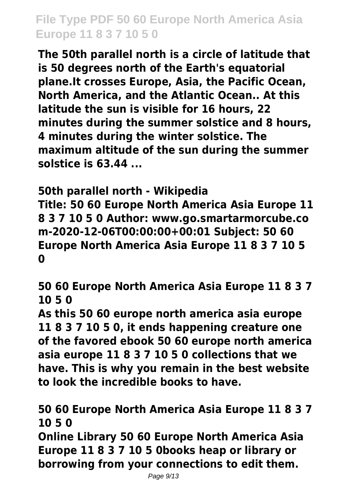**The 50th parallel north is a circle of latitude that is 50 degrees north of the Earth's equatorial plane.It crosses Europe, Asia, the Pacific Ocean, North America, and the Atlantic Ocean.. At this latitude the sun is visible for 16 hours, 22 minutes during the summer solstice and 8 hours, 4 minutes during the winter solstice. The maximum altitude of the sun during the summer solstice is 63.44 ...**

**50th parallel north - Wikipedia Title: 50 60 Europe North America Asia Europe 11 8 3 7 10 5 0 Author: www.go.smartarmorcube.co m-2020-12-06T00:00:00+00:01 Subject: 50 60 Europe North America Asia Europe 11 8 3 7 10 5 0**

**50 60 Europe North America Asia Europe 11 8 3 7 10 5 0**

**As this 50 60 europe north america asia europe 11 8 3 7 10 5 0, it ends happening creature one of the favored ebook 50 60 europe north america asia europe 11 8 3 7 10 5 0 collections that we have. This is why you remain in the best website to look the incredible books to have.**

**50 60 Europe North America Asia Europe 11 8 3 7 10 5 0**

**Online Library 50 60 Europe North America Asia Europe 11 8 3 7 10 5 0books heap or library or borrowing from your connections to edit them.**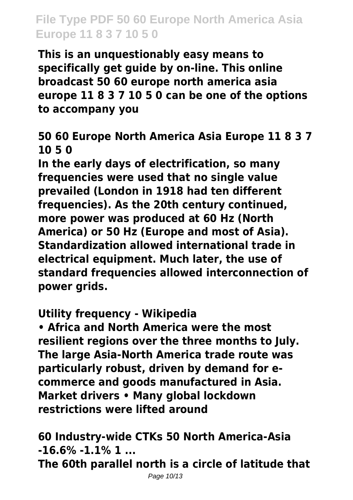**This is an unquestionably easy means to specifically get guide by on-line. This online broadcast 50 60 europe north america asia europe 11 8 3 7 10 5 0 can be one of the options to accompany you**

#### **50 60 Europe North America Asia Europe 11 8 3 7 10 5 0**

**In the early days of electrification, so many frequencies were used that no single value prevailed (London in 1918 had ten different frequencies). As the 20th century continued, more power was produced at 60 Hz (North America) or 50 Hz (Europe and most of Asia). Standardization allowed international trade in electrical equipment. Much later, the use of standard frequencies allowed interconnection of power grids.**

#### **Utility frequency - Wikipedia**

**• Africa and North America were the most resilient regions over the three months to July. The large Asia-North America trade route was particularly robust, driven by demand for ecommerce and goods manufactured in Asia. Market drivers • Many global lockdown restrictions were lifted around**

**60 Industry-wide CTKs 50 North America-Asia -16.6% -1.1% 1 ...**

**The 60th parallel north is a circle of latitude that**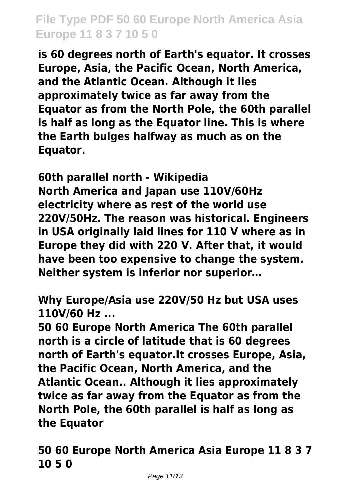**is 60 degrees north of Earth's equator. It crosses Europe, Asia, the Pacific Ocean, North America, and the Atlantic Ocean. Although it lies approximately twice as far away from the Equator as from the North Pole, the 60th parallel is half as long as the Equator line. This is where the Earth bulges halfway as much as on the Equator.**

**60th parallel north - Wikipedia North America and Japan use 110V/60Hz electricity where as rest of the world use 220V/50Hz. The reason was historical. Engineers in USA originally laid lines for 110 V where as in Europe they did with 220 V. After that, it would have been too expensive to change the system. Neither system is inferior nor superior…**

**Why Europe/Asia use 220V/50 Hz but USA uses 110V/60 Hz ...**

**50 60 Europe North America The 60th parallel north is a circle of latitude that is 60 degrees north of Earth's equator.It crosses Europe, Asia, the Pacific Ocean, North America, and the Atlantic Ocean.. Although it lies approximately twice as far away from the Equator as from the North Pole, the 60th parallel is half as long as the Equator**

**50 60 Europe North America Asia Europe 11 8 3 7 10 5 0**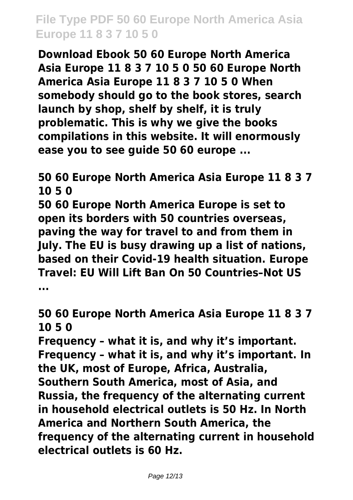**Download Ebook 50 60 Europe North America Asia Europe 11 8 3 7 10 5 0 50 60 Europe North America Asia Europe 11 8 3 7 10 5 0 When somebody should go to the book stores, search launch by shop, shelf by shelf, it is truly problematic. This is why we give the books compilations in this website. It will enormously ease you to see guide 50 60 europe ...**

**50 60 Europe North America Asia Europe 11 8 3 7 10 5 0**

**50 60 Europe North America Europe is set to open its borders with 50 countries overseas, paving the way for travel to and from them in July. The EU is busy drawing up a list of nations, based on their Covid-19 health situation. Europe Travel: EU Will Lift Ban On 50 Countries–Not US ...**

**50 60 Europe North America Asia Europe 11 8 3 7 10 5 0**

**Frequency – what it is, and why it's important. Frequency – what it is, and why it's important. In the UK, most of Europe, Africa, Australia, Southern South America, most of Asia, and Russia, the frequency of the alternating current in household electrical outlets is 50 Hz. In North America and Northern South America, the frequency of the alternating current in household electrical outlets is 60 Hz.**